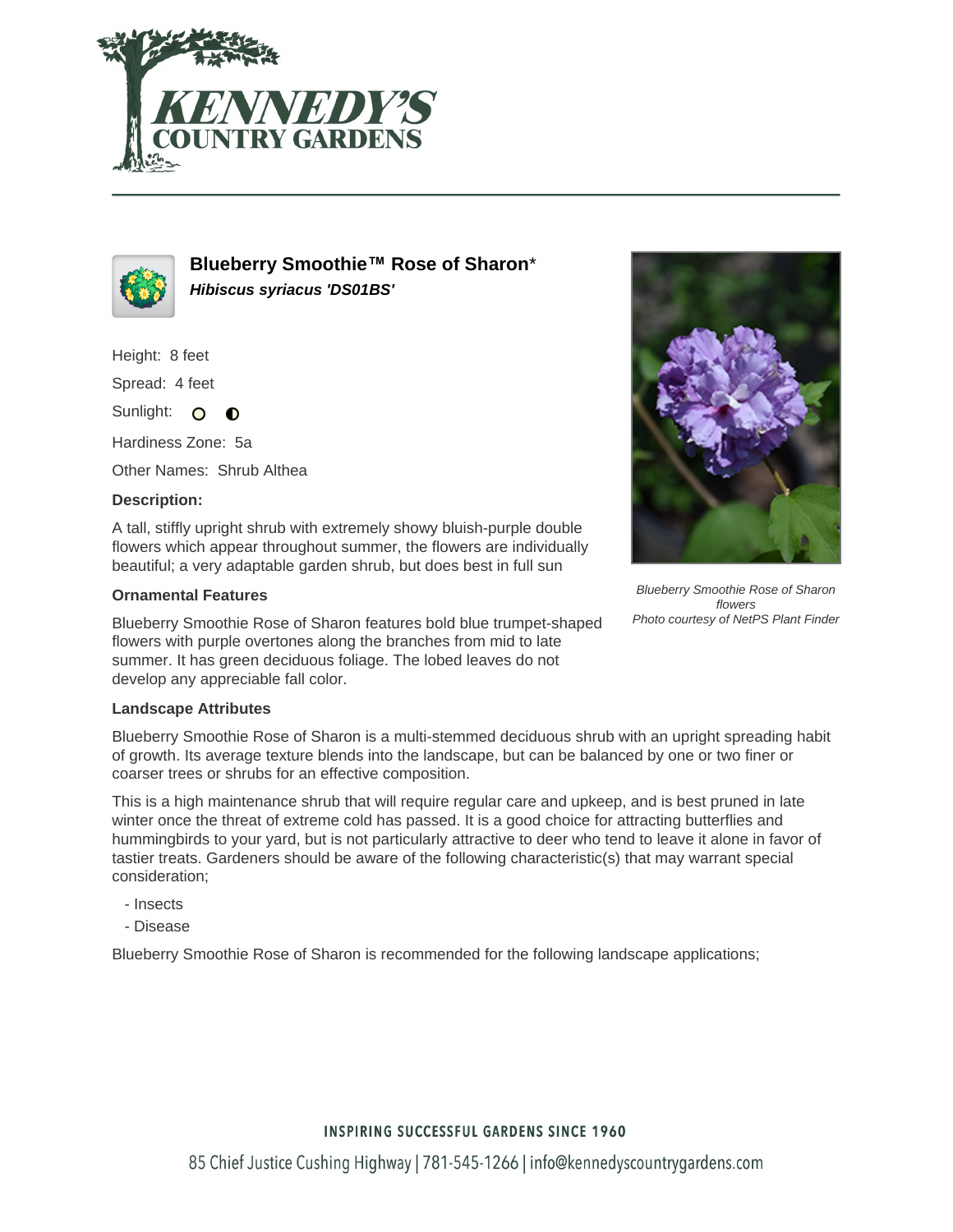



**Blueberry Smoothie™ Rose of Sharon**\* **Hibiscus syriacus 'DS01BS'**

Height: 8 feet

Spread: 4 feet

Sunlight: O  $\bullet$ 

Hardiness Zone: 5a

Other Names: Shrub Althea

## **Description:**

A tall, stiffly upright shrub with extremely showy bluish-purple double flowers which appear throughout summer, the flowers are individually beautiful; a very adaptable garden shrub, but does best in full sun

## **Ornamental Features**

Blueberry Smoothie Rose of Sharon features bold blue trumpet-shaped flowers with purple overtones along the branches from mid to late summer. It has green deciduous foliage. The lobed leaves do not develop any appreciable fall color.

## **Landscape Attributes**

Blueberry Smoothie Rose of Sharon is a multi-stemmed deciduous shrub with an upright spreading habit of growth. Its average texture blends into the landscape, but can be balanced by one or two finer or coarser trees or shrubs for an effective composition.

This is a high maintenance shrub that will require regular care and upkeep, and is best pruned in late winter once the threat of extreme cold has passed. It is a good choice for attracting butterflies and hummingbirds to your yard, but is not particularly attractive to deer who tend to leave it alone in favor of tastier treats. Gardeners should be aware of the following characteristic(s) that may warrant special consideration;

- Insects
- Disease

Blueberry Smoothie Rose of Sharon is recommended for the following landscape applications;



Blueberry Smoothie Rose of Sharon flowers Photo courtesy of NetPS Plant Finder